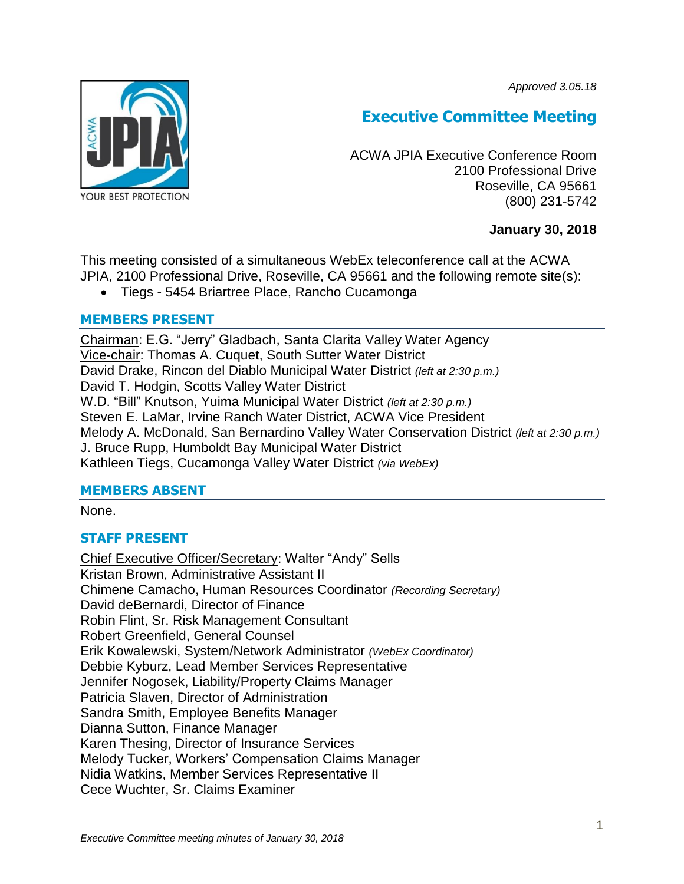*Approved 3.05.18*



# **Executive Committee Meeting**

ACWA JPIA Executive Conference Room 2100 Professional Drive Roseville, CA 95661 (800) 231-5742

# **January 30, 2018**

This meeting consisted of a simultaneous WebEx teleconference call at the ACWA JPIA, 2100 Professional Drive, Roseville, CA 95661 and the following remote site(s):

Tiegs - 5454 Briartree Place, Rancho Cucamonga

# **MEMBERS PRESENT**

Chairman: E.G. "Jerry" Gladbach, Santa Clarita Valley Water Agency Vice-chair: Thomas A. Cuquet, South Sutter Water District David Drake, Rincon del Diablo Municipal Water District *(left at 2:30 p.m.)* David T. Hodgin, Scotts Valley Water District W.D. "Bill" Knutson, Yuima Municipal Water District *(left at 2:30 p.m.)* Steven E. LaMar, Irvine Ranch Water District, ACWA Vice President Melody A. McDonald, San Bernardino Valley Water Conservation District *(left at 2:30 p.m.)* J. Bruce Rupp, Humboldt Bay Municipal Water District Kathleen Tiegs, Cucamonga Valley Water District *(via WebEx)*

# **MEMBERS ABSENT**

None.

# **STAFF PRESENT**

Chief Executive Officer/Secretary: Walter "Andy" Sells Kristan Brown, Administrative Assistant II Chimene Camacho, Human Resources Coordinator *(Recording Secretary)* David deBernardi, Director of Finance Robin Flint, Sr. Risk Management Consultant Robert Greenfield, General Counsel Erik Kowalewski, System/Network Administrator *(WebEx Coordinator)* Debbie Kyburz, Lead Member Services Representative Jennifer Nogosek, Liability/Property Claims Manager Patricia Slaven, Director of Administration Sandra Smith, Employee Benefits Manager Dianna Sutton, Finance Manager Karen Thesing, Director of Insurance Services Melody Tucker, Workers' Compensation Claims Manager Nidia Watkins, Member Services Representative II Cece Wuchter, Sr. Claims Examiner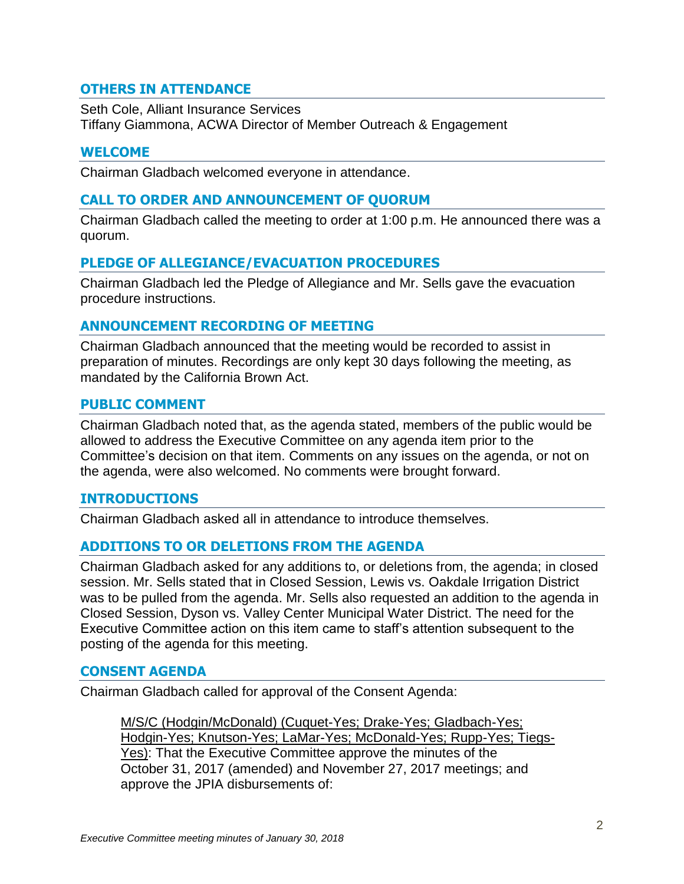# **OTHERS IN ATTENDANCE**

Seth Cole, Alliant Insurance Services Tiffany Giammona, ACWA Director of Member Outreach & Engagement

## **WELCOME**

Chairman Gladbach welcomed everyone in attendance.

#### **CALL TO ORDER AND ANNOUNCEMENT OF QUORUM**

Chairman Gladbach called the meeting to order at 1:00 p.m. He announced there was a quorum.

# **PLEDGE OF ALLEGIANCE/EVACUATION PROCEDURES**

Chairman Gladbach led the Pledge of Allegiance and Mr. Sells gave the evacuation procedure instructions.

## **ANNOUNCEMENT RECORDING OF MEETING**

Chairman Gladbach announced that the meeting would be recorded to assist in preparation of minutes. Recordings are only kept 30 days following the meeting, as mandated by the California Brown Act.

#### **PUBLIC COMMENT**

Chairman Gladbach noted that, as the agenda stated, members of the public would be allowed to address the Executive Committee on any agenda item prior to the Committee's decision on that item. Comments on any issues on the agenda, or not on the agenda, were also welcomed. No comments were brought forward.

#### **INTRODUCTIONS**

Chairman Gladbach asked all in attendance to introduce themselves.

# **ADDITIONS TO OR DELETIONS FROM THE AGENDA**

Chairman Gladbach asked for any additions to, or deletions from, the agenda; in closed session. Mr. Sells stated that in Closed Session, Lewis vs. Oakdale Irrigation District was to be pulled from the agenda. Mr. Sells also requested an addition to the agenda in Closed Session, Dyson vs. Valley Center Municipal Water District. The need for the Executive Committee action on this item came to staff's attention subsequent to the posting of the agenda for this meeting.

#### **CONSENT AGENDA**

Chairman Gladbach called for approval of the Consent Agenda:

M/S/C (Hodgin/McDonald) (Cuquet-Yes; Drake-Yes; Gladbach-Yes; Hodgin-Yes; Knutson-Yes; LaMar-Yes; McDonald-Yes; Rupp-Yes; Tiegs-Yes): That the Executive Committee approve the minutes of the October 31, 2017 (amended) and November 27, 2017 meetings; and approve the JPIA disbursements of: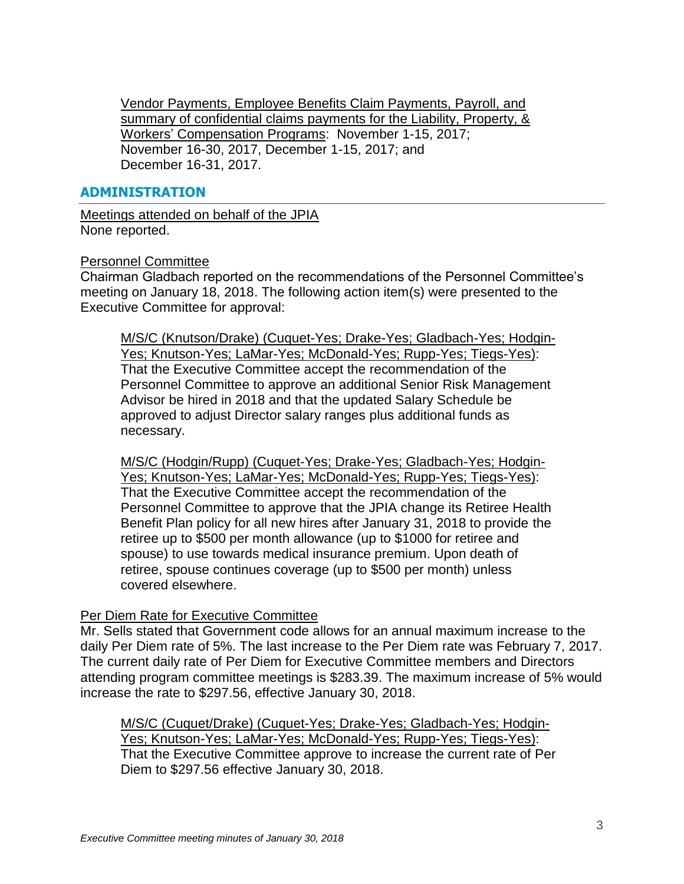Vendor Payments, Employee Benefits Claim Payments, Payroll, and summary of confidential claims payments for the Liability, Property, & Workers' Compensation Programs: November 1-15, 2017; November 16-30, 2017, December 1-15, 2017; and December 16-31, 2017.

## **ADMINISTRATION**

Meetings attended on behalf of the JPIA None reported.

#### Personnel Committee

Chairman Gladbach reported on the recommendations of the Personnel Committee's meeting on January 18, 2018. The following action item(s) were presented to the Executive Committee for approval:

M/S/C (Knutson/Drake) (Cuquet-Yes; Drake-Yes; Gladbach-Yes; Hodgin-Yes; Knutson-Yes; LaMar-Yes; McDonald-Yes; Rupp-Yes; Tiegs-Yes): That the Executive Committee accept the recommendation of the Personnel Committee to approve an additional Senior Risk Management Advisor be hired in 2018 and that the updated Salary Schedule be approved to adjust Director salary ranges plus additional funds as necessary.

M/S/C (Hodgin/Rupp) (Cuquet-Yes; Drake-Yes; Gladbach-Yes; Hodgin-Yes; Knutson-Yes; LaMar-Yes; McDonald-Yes; Rupp-Yes; Tiegs-Yes): That the Executive Committee accept the recommendation of the Personnel Committee to approve that the JPIA change its Retiree Health Benefit Plan policy for all new hires after January 31, 2018 to provide the retiree up to \$500 per month allowance (up to \$1000 for retiree and spouse) to use towards medical insurance premium. Upon death of retiree, spouse continues coverage (up to \$500 per month) unless covered elsewhere.

#### Per Diem Rate for Executive Committee

Mr. Sells stated that Government code allows for an annual maximum increase to the daily Per Diem rate of 5%. The last increase to the Per Diem rate was February 7, 2017. The current daily rate of Per Diem for Executive Committee members and Directors attending program committee meetings is \$283.39. The maximum increase of 5% would increase the rate to \$297.56, effective January 30, 2018.

M/S/C (Cuquet/Drake) (Cuquet-Yes; Drake-Yes; Gladbach-Yes; Hodgin-Yes; Knutson-Yes; LaMar-Yes; McDonald-Yes; Rupp-Yes; Tiegs-Yes): That the Executive Committee approve to increase the current rate of Per Diem to \$297.56 effective January 30, 2018.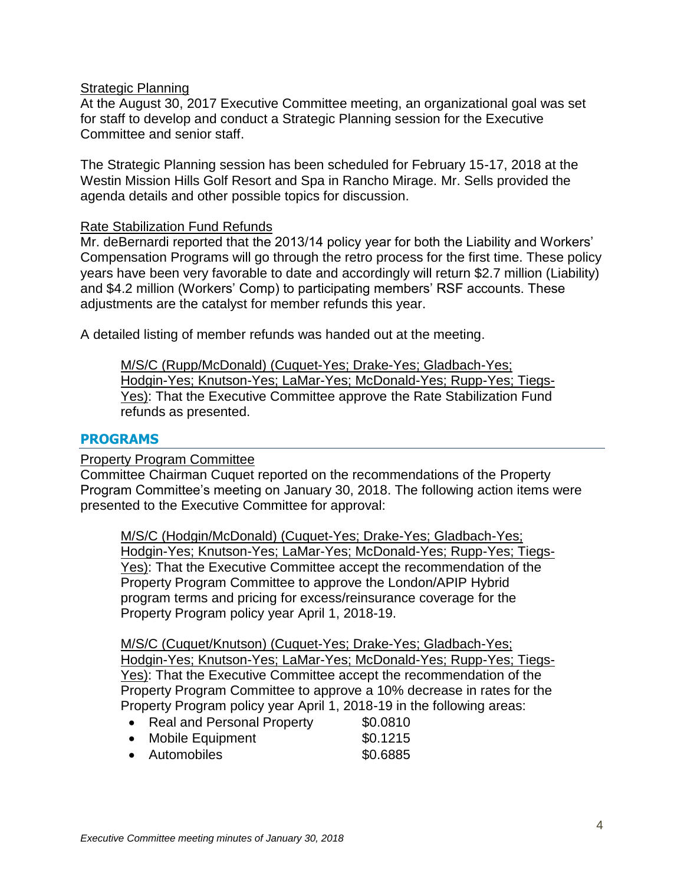## **Strategic Planning**

At the August 30, 2017 Executive Committee meeting, an organizational goal was set for staff to develop and conduct a Strategic Planning session for the Executive Committee and senior staff.

The Strategic Planning session has been scheduled for February 15-17, 2018 at the Westin Mission Hills Golf Resort and Spa in Rancho Mirage. Mr. Sells provided the agenda details and other possible topics for discussion.

#### Rate Stabilization Fund Refunds

Mr. deBernardi reported that the 2013/14 policy year for both the Liability and Workers' Compensation Programs will go through the retro process for the first time. These policy years have been very favorable to date and accordingly will return \$2.7 million (Liability) and \$4.2 million (Workers' Comp) to participating members' RSF accounts. These adjustments are the catalyst for member refunds this year.

A detailed listing of member refunds was handed out at the meeting.

M/S/C (Rupp/McDonald) (Cuquet-Yes; Drake-Yes; Gladbach-Yes; Hodgin-Yes; Knutson-Yes; LaMar-Yes; McDonald-Yes; Rupp-Yes; Tiegs-Yes): That the Executive Committee approve the Rate Stabilization Fund refunds as presented.

#### **PROGRAMS**

Property Program Committee

Committee Chairman Cuquet reported on the recommendations of the Property Program Committee's meeting on January 30, 2018. The following action items were presented to the Executive Committee for approval:

M/S/C (Hodgin/McDonald) (Cuquet-Yes; Drake-Yes; Gladbach-Yes; Hodgin-Yes; Knutson-Yes; LaMar-Yes; McDonald-Yes; Rupp-Yes; Tiegs-Yes): That the Executive Committee accept the recommendation of the Property Program Committee to approve the London/APIP Hybrid program terms and pricing for excess/reinsurance coverage for the Property Program policy year April 1, 2018-19.

M/S/C (Cuquet/Knutson) (Cuquet-Yes; Drake-Yes; Gladbach-Yes; Hodgin-Yes; Knutson-Yes; LaMar-Yes; McDonald-Yes; Rupp-Yes; Tiegs-Yes): That the Executive Committee accept the recommendation of the Property Program Committee to approve a 10% decrease in rates for the Property Program policy year April 1, 2018-19 in the following areas:

- Real and Personal Property \$0.0810
- Mobile Equipment \$0.1215
- Automobiles **\$0.6885**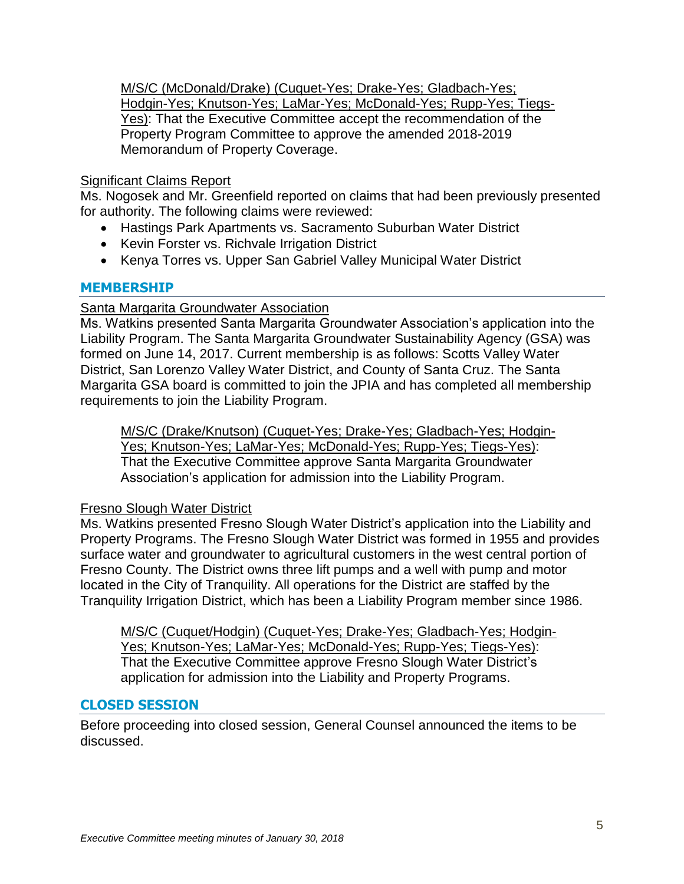M/S/C (McDonald/Drake) (Cuquet-Yes; Drake-Yes; Gladbach-Yes; Hodgin-Yes; Knutson-Yes; LaMar-Yes; McDonald-Yes; Rupp-Yes; Tiegs-Yes): That the Executive Committee accept the recommendation of the Property Program Committee to approve the amended 2018-2019 Memorandum of Property Coverage.

# Significant Claims Report

Ms. Nogosek and Mr. Greenfield reported on claims that had been previously presented for authority. The following claims were reviewed:

- Hastings Park Apartments vs. Sacramento Suburban Water District
- Kevin Forster vs. Richvale Irrigation District
- Kenya Torres vs. Upper San Gabriel Valley Municipal Water District

# **MEMBERSHIP**

## Santa Margarita Groundwater Association

Ms. Watkins presented Santa Margarita Groundwater Association's application into the Liability Program. The Santa Margarita Groundwater Sustainability Agency (GSA) was formed on June 14, 2017. Current membership is as follows: Scotts Valley Water District, San Lorenzo Valley Water District, and County of Santa Cruz. The Santa Margarita GSA board is committed to join the JPIA and has completed all membership requirements to join the Liability Program.

M/S/C (Drake/Knutson) (Cuquet-Yes; Drake-Yes; Gladbach-Yes; Hodgin-Yes; Knutson-Yes; LaMar-Yes; McDonald-Yes; Rupp-Yes; Tiegs-Yes): That the Executive Committee approve Santa Margarita Groundwater Association's application for admission into the Liability Program.

#### Fresno Slough Water District

Ms. Watkins presented Fresno Slough Water District's application into the Liability and Property Programs. The Fresno Slough Water District was formed in 1955 and provides surface water and groundwater to agricultural customers in the west central portion of Fresno County. The District owns three lift pumps and a well with pump and motor located in the City of Tranquility. All operations for the District are staffed by the Tranquility Irrigation District, which has been a Liability Program member since 1986.

M/S/C (Cuquet/Hodgin) (Cuquet-Yes; Drake-Yes; Gladbach-Yes; Hodgin-Yes; Knutson-Yes; LaMar-Yes; McDonald-Yes; Rupp-Yes; Tiegs-Yes): That the Executive Committee approve Fresno Slough Water District's application for admission into the Liability and Property Programs.

# **CLOSED SESSION**

Before proceeding into closed session, General Counsel announced the items to be discussed.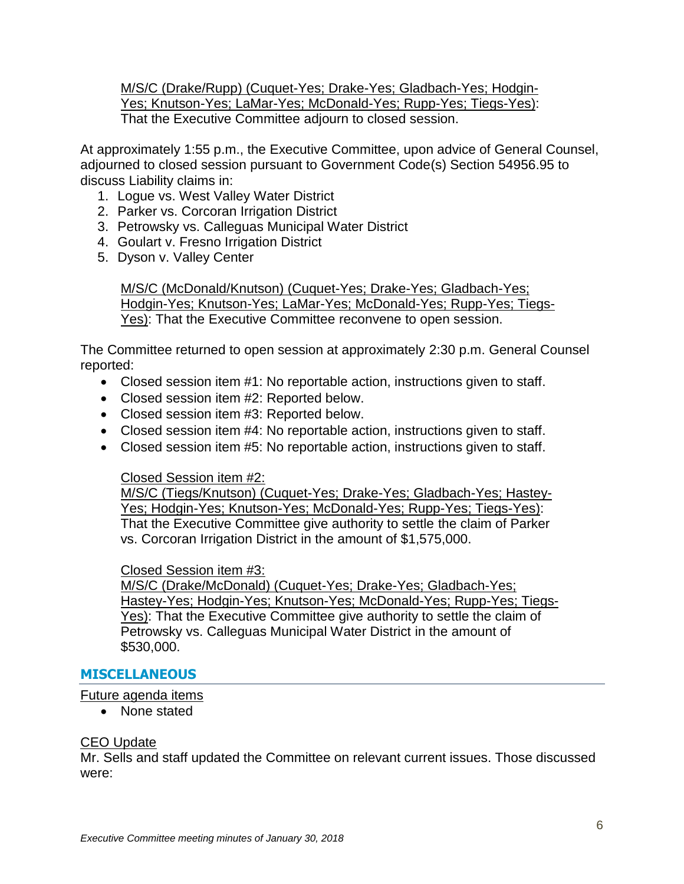M/S/C (Drake/Rupp) (Cuquet-Yes; Drake-Yes; Gladbach-Yes; Hodgin-Yes; Knutson-Yes; LaMar-Yes; McDonald-Yes; Rupp-Yes; Tiegs-Yes): That the Executive Committee adjourn to closed session.

At approximately 1:55 p.m., the Executive Committee, upon advice of General Counsel, adjourned to closed session pursuant to Government Code(s) Section 54956.95 to discuss Liability claims in:

- 1. Logue vs. West Valley Water District
- 2. Parker vs. Corcoran Irrigation District
- 3. Petrowsky vs. Calleguas Municipal Water District
- 4. Goulart v. Fresno Irrigation District
- 5. Dyson v. Valley Center

M/S/C (McDonald/Knutson) (Cuquet-Yes; Drake-Yes; Gladbach-Yes; Hodgin-Yes; Knutson-Yes; LaMar-Yes; McDonald-Yes; Rupp-Yes; Tiegs-Yes): That the Executive Committee reconvene to open session.

The Committee returned to open session at approximately 2:30 p.m. General Counsel reported:

- Closed session item #1: No reportable action, instructions given to staff.
- Closed session item #2: Reported below.
- Closed session item #3: Reported below.
- Closed session item #4: No reportable action, instructions given to staff.
- Closed session item #5: No reportable action, instructions given to staff.

# Closed Session item #2:

M/S/C (Tiegs/Knutson) (Cuquet-Yes; Drake-Yes; Gladbach-Yes; Hastey-Yes; Hodgin-Yes; Knutson-Yes; McDonald-Yes; Rupp-Yes; Tiegs-Yes): That the Executive Committee give authority to settle the claim of Parker vs. Corcoran Irrigation District in the amount of \$1,575,000.

# Closed Session item #3:

M/S/C (Drake/McDonald) (Cuquet-Yes; Drake-Yes; Gladbach-Yes; Hastey-Yes; Hodgin-Yes; Knutson-Yes; McDonald-Yes; Rupp-Yes; Tiegs-Yes): That the Executive Committee give authority to settle the claim of Petrowsky vs. Calleguas Municipal Water District in the amount of \$530,000.

# **MISCELLANEOUS**

# Future agenda items

• None stated

# CEO Update

Mr. Sells and staff updated the Committee on relevant current issues. Those discussed were: